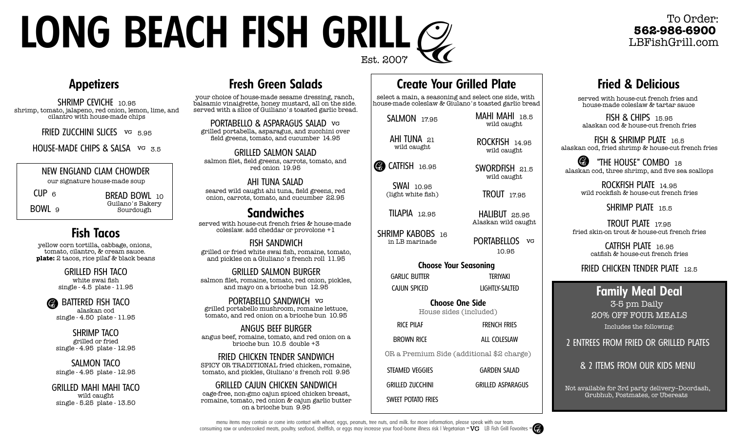# **LONG BEACH FISH GRILL** Est. 2007

#### To Order: **562-986-6900** LBFishGrill.com

# **Fried & Delicious**

served with house-cut french fries and house-made coleslaw & tartar sauce

FISH & CHIPS 15.95 alaskan cod & house-cut french fries

FISH & SHRIMP PLATE 16.5 alaskan cod, fried shrimp & house-cut french fries

Ø "THE HOUSE" COMBO 18 alaskan cod, three shrimp, and five sea scallops

> ROCKFISH PLATE 14.95 wild rockfish & house-cut french fries

> > SHRIMP PLATE 15.5

TROUT PLATE 17.95 fried skin-on trout & house-cut french fries

> CATFISH PLATE 16.95 catfish & house-cut french fries

FRIED CHICKEN TENDER PLATE 12.5

#### **Family Meal Deal**

3-5 pm Daily 20% OFF FOUR MEALS Includes the following:

2 ENTREES FROM FRIED OR GRILLED PLATES

& 2 ITEMS FROM OUR KIDS MENU

Not available for 3rd party delivery--Doordash, Grubhub, Postmates, or Ubereats

#### **Appetizers**

SHRIMP CEVICHE 10.95 shrimp, tomato, jalapeno, red onion, lemon, lime, and cilantro with house-made chips

FRIED ZUCCHINI SLICES VG 5.95

HOUSE-MADE CHIPS & SALSA  $\overline{MS}$  3.5

#### NEW ENGLAND CLAM CHOWDER

our signature house-made soup

BREAD BOWL 10 Guilano's Bakery Sourdough

CUP <sup>6</sup>

BOWL 9

# **Fish Tacos**

yellow corn tortilla, cabbage, onions, tomato, cilantro, & cream sauce. **plate:** 2 tacos, rice pilaf & black beans

> GRILLED FISH TACO white swai fish single - 4.5 plate - 11.95

BATTERED FISH TACO alaskan cod single - 4.50 plate - 11.95

SHRIMP TACO grilled or fried single - 4.95 plate - 12.95

SALMON TACO single - 4.95 plate - 12.95

GRILLED MAHI MAHI TACO wild caught single - 5.25 plate - 13.50

# **Fresh Green Salads**

your choice of house-made sesame dressing, ranch, balsamic vinaigrette, honey mustard, all on the side. served with a slice of Guiliano's toasted garlic bread.

PORTABELLO & ASPARAGUS SALAD VG grilled portabella, asparagus, and zucchini over field greens, tomato, and cucumber 14.95

GRILLED SALMON SALAD salmon filet, field greens, carrots, tomato, and red onion 19.95

AHI TUNA SALAD seared wild caught ahi tuna, field greens, red onion, carrots, tomato, and cucumber 22.95

served with house-cut french fries & house-made coleslaw. add cheddar or provolone +1 **Sandwiches**

FISH SANDWICH grilled or fried white swai fish, romaine, tomato, and pickles on a Giuliano's french roll 11.95

GRILLED SALMON BURGER salmon filet, romaine, tomato, red onion, pickles, and mayo on a brioche bun 12.95

PORTABELLO SANDWICH grilled portabello mushroom, romaine lettuce, tomato, and red onion on a brioche bun 10.95

ANGUS BEEF BURGER angus beef, romaine, tomato, and red onion on a brioche bun 10.5 double +3

FRIED CHICKEN TENDER SANDWICH SPICY OR TRADITIONAL fried chicken, romaine, tomato, and pickles, Giuliano's french roll 9.95

GRILLED CAJUN CHICKEN SANDWICH cage-free, non-gmo cajun spiced chicken breast, romaine, tomato, red onion & cajun garlic butter on a brioche bun 9.95

# **Create Your Grilled Plate**

select a main, a seasoning and select one side, with house-made coleslaw & Giulano's toasted garlic bread

SALMON 17.95 AHI TUNA 21 wild caught

CATFISH 16.95

SWAI 10.95 (light white fish)

TILAPIA 12.95

SHRIMP KABOBS 16 in LB marinade

**Choose Your Seasoning** GARLIC BUTTER TERIYAKI

House sides (included)

FRENCH FRIES

OR a Premium Side (additional \$2 charge)

SWEET POTATO FRIES GRILLED ASPARAGUS

10.95

MAHI MAHI 18.5 wild caught

ROCKFISH 14.95 wild caught

SWORDFISH 21.5 wild caught

TROUT 17.95

HALIBUT 25.95 Alaskan wild caught

PORTABELLOS vG

LIGHTLY-SALTED

**Choose One Side**

ALL COLESIAW

STEAMED VEGGIES GRILLED ZUCCHINI

CAJUN SPICED

RICE PILAF

BROWN RICE

GARDEN SALAD



menu items may contain or come into contact with wheat, eggs, peanuts, tree nuts, and milk. for more information, please speak with our team. consuming raw or undercooked meats, poultry, seafood, shellfish, or eggs may increase your food-borne illness risk I Vegetarian =  $\sqrt{V}$  LB Fish Grill Favorites =  $\binom{2}{2}$